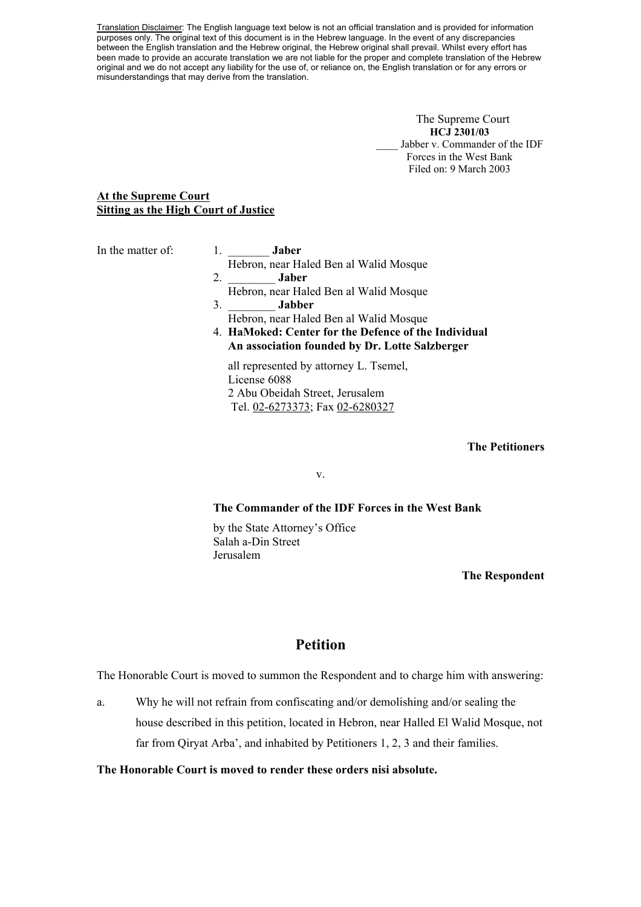Translation Disclaimer: The English language text below is not an official translation and is provided for information purposes only. The original text of this document is in the Hebrew language. In the event of any discrepancies between the English translation and the Hebrew original, the Hebrew original shall prevail. Whilst every effort has been made to provide an accurate translation we are not liable for the proper and complete translation of the Hebrew original and we do not accept any liability for the use of, or reliance on, the English translation or for any errors or misunderstandings that may derive from the translation.

> The Supreme Court **HCJ 2301/03**  Jabber v. Commander of the IDF Forces in the West Bank Filed on: 9 March 2003

# **At the Supreme Court Sitting as the High Court of Justice**

In the matter of: 1. **Jaber** 

- Hebron, near Haled Ben al Walid Mosque 2. \_\_\_\_\_\_\_\_ **Jaber**
- Hebron, near Haled Ben al Walid Mosque 3. \_\_\_\_\_\_\_\_ **Jabber**
- Hebron, near Haled Ben al Walid Mosque
- 4. **HaMoked: Center for the Defence of the Individual An association founded by Dr. Lotte Salzberger**

 all represented by attorney L. Tsemel, License 6088 2 Abu Obeidah Street, Jerusalem Tel. 02-6273373; Fax 02-6280327

#### **The Petitioners**

v.

#### **The Commander of the IDF Forces in the West Bank**

 by the State Attorney's Office Salah a-Din Street Jerusalem

#### **The Respondent**

# **Petition**

The Honorable Court is moved to summon the Respondent and to charge him with answering:

a. Why he will not refrain from confiscating and/or demolishing and/or sealing the house described in this petition, located in Hebron, near Halled El Walid Mosque, not far from Qiryat Arba', and inhabited by Petitioners 1, 2, 3 and their families.

#### **The Honorable Court is moved to render these orders nisi absolute.**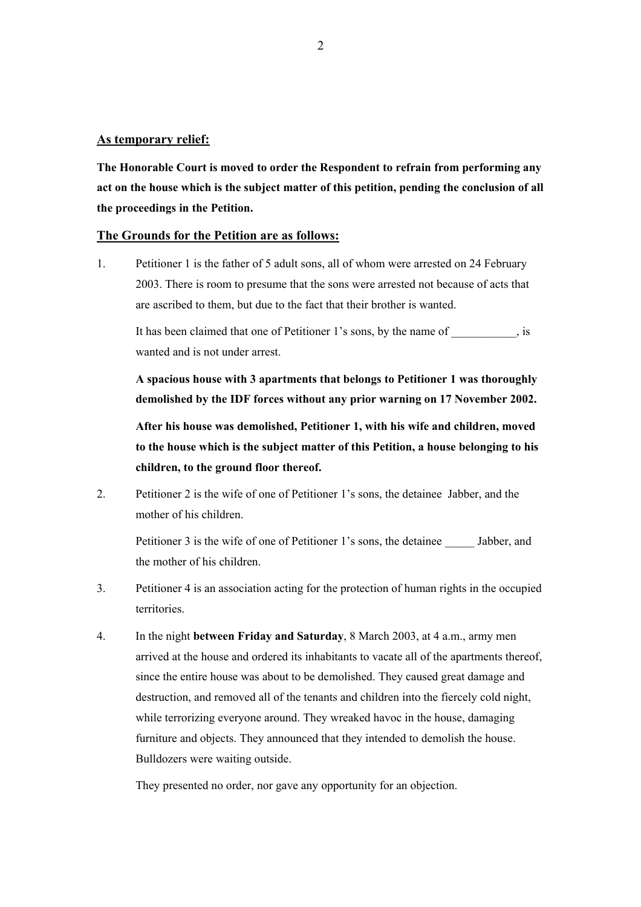#### **As temporary relief:**

**The Honorable Court is moved to order the Respondent to refrain from performing any act on the house which is the subject matter of this petition, pending the conclusion of all the proceedings in the Petition.** 

#### **The Grounds for the Petition are as follows:**

1. Petitioner 1 is the father of 5 adult sons, all of whom were arrested on 24 February 2003. There is room to presume that the sons were arrested not because of acts that are ascribed to them, but due to the fact that their brother is wanted.

It has been claimed that one of Petitioner 1's sons, by the name of  $\cdot$ , is wanted and is not under arrest.

**A spacious house with 3 apartments that belongs to Petitioner 1 was thoroughly demolished by the IDF forces without any prior warning on 17 November 2002.** 

 **After his house was demolished, Petitioner 1, with his wife and children, moved to the house which is the subject matter of this Petition, a house belonging to his children, to the ground floor thereof.**

2. Petitioner 2 is the wife of one of Petitioner 1's sons, the detainee Jabber, and the mother of his children.

Petitioner 3 is the wife of one of Petitioner 1's sons, the detainee Jabber, and the mother of his children.

- 3. Petitioner 4 is an association acting for the protection of human rights in the occupied territories.
- 4. In the night **between Friday and Saturday**, 8 March 2003, at 4 a.m., army men arrived at the house and ordered its inhabitants to vacate all of the apartments thereof, since the entire house was about to be demolished. They caused great damage and destruction, and removed all of the tenants and children into the fiercely cold night, while terrorizing everyone around. They wreaked havoc in the house, damaging furniture and objects. They announced that they intended to demolish the house. Bulldozers were waiting outside.

They presented no order, nor gave any opportunity for an objection.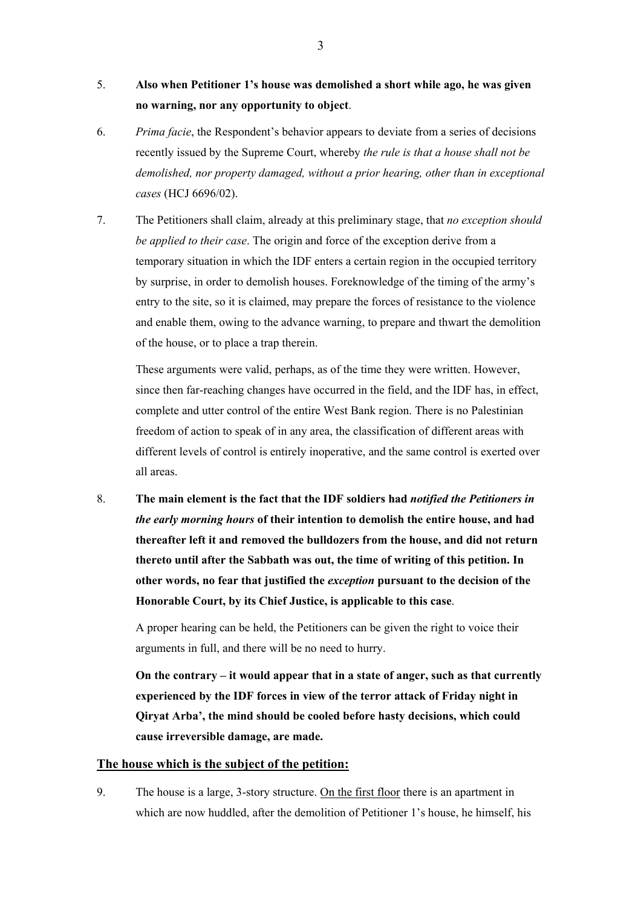- 5. **Also when Petitioner 1's house was demolished a short while ago, he was given no warning, nor any opportunity to object**.
- 6. *Prima facie*, the Respondent's behavior appears to deviate from a series of decisions recently issued by the Supreme Court, whereby *the rule is that a house shall not be demolished, nor property damaged, without a prior hearing, other than in exceptional cases* (HCJ 6696/02).
- 7. The Petitioners shall claim, already at this preliminary stage, that *no exception should be applied to their case*. The origin and force of the exception derive from a temporary situation in which the IDF enters a certain region in the occupied territory by surprise, in order to demolish houses. Foreknowledge of the timing of the army's entry to the site, so it is claimed, may prepare the forces of resistance to the violence and enable them, owing to the advance warning, to prepare and thwart the demolition of the house, or to place a trap therein.

 These arguments were valid, perhaps, as of the time they were written. However, since then far-reaching changes have occurred in the field, and the IDF has, in effect, complete and utter control of the entire West Bank region. There is no Palestinian freedom of action to speak of in any area, the classification of different areas with different levels of control is entirely inoperative, and the same control is exerted over all areas.

8. **The main element is the fact that the IDF soldiers had** *notified the Petitioners in the early morning hours* **of their intention to demolish the entire house, and had thereafter left it and removed the bulldozers from the house, and did not return thereto until after the Sabbath was out, the time of writing of this petition. In other words, no fear that justified the** *exception* **pursuant to the decision of the Honorable Court, by its Chief Justice, is applicable to this case**.

A proper hearing can be held, the Petitioners can be given the right to voice their arguments in full, and there will be no need to hurry.

**On the contrary – it would appear that in a state of anger, such as that currently experienced by the IDF forces in view of the terror attack of Friday night in Qiryat Arba', the mind should be cooled before hasty decisions, which could cause irreversible damage, are made.** 

# **The house which is the subject of the petition:**

9. The house is a large, 3-story structure. On the first floor there is an apartment in which are now huddled, after the demolition of Petitioner 1's house, he himself, his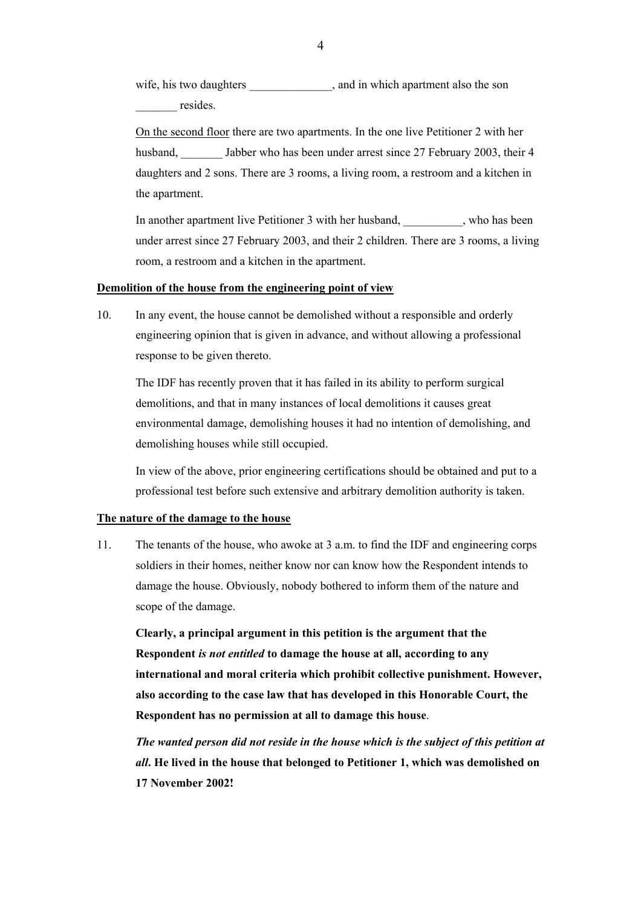wife, his two daughters \_\_\_\_\_\_\_\_\_\_\_\_\_\_, and in which apartment also the son resides.

 On the second floor there are two apartments. In the one live Petitioner 2 with her husband, Jabber who has been under arrest since 27 February 2003, their 4 daughters and 2 sons. There are 3 rooms, a living room, a restroom and a kitchen in the apartment.

In another apartment live Petitioner 3 with her husband, who has been under arrest since 27 February 2003, and their 2 children. There are 3 rooms, a living room, a restroom and a kitchen in the apartment.

#### **Demolition of the house from the engineering point of view**

10. In any event, the house cannot be demolished without a responsible and orderly engineering opinion that is given in advance, and without allowing a professional response to be given thereto.

 The IDF has recently proven that it has failed in its ability to perform surgical demolitions, and that in many instances of local demolitions it causes great environmental damage, demolishing houses it had no intention of demolishing, and demolishing houses while still occupied.

 In view of the above, prior engineering certifications should be obtained and put to a professional test before such extensive and arbitrary demolition authority is taken.

#### **The nature of the damage to the house**

11. The tenants of the house, who awoke at 3 a.m. to find the IDF and engineering corps soldiers in their homes, neither know nor can know how the Respondent intends to damage the house. Obviously, nobody bothered to inform them of the nature and scope of the damage.

**Clearly, a principal argument in this petition is the argument that the Respondent** *is not entitled* **to damage the house at all, according to any international and moral criteria which prohibit collective punishment. However, also according to the case law that has developed in this Honorable Court, the Respondent has no permission at all to damage this house**.

*The wanted person did not reside in the house which is the subject of this petition at all***. He lived in the house that belonged to Petitioner 1, which was demolished on 17 November 2002!**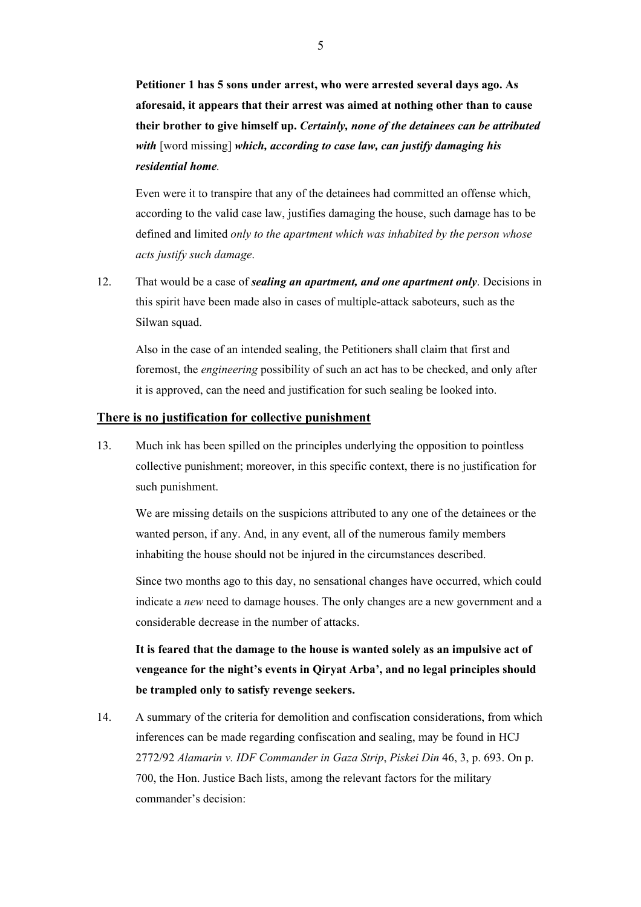**Petitioner 1 has 5 sons under arrest, who were arrested several days ago. As aforesaid, it appears that their arrest was aimed at nothing other than to cause their brother to give himself up.** *Certainly, none of the detainees can be attributed with* [word missing] *which, according to case law, can justify damaging his residential home.*

Even were it to transpire that any of the detainees had committed an offense which, according to the valid case law, justifies damaging the house, such damage has to be defined and limited *only to the apartment which was inhabited by the person whose acts justify such damage*.

12. That would be a case of *sealing an apartment, and one apartment only*. Decisions in this spirit have been made also in cases of multiple-attack saboteurs, such as the Silwan squad.

 Also in the case of an intended sealing, the Petitioners shall claim that first and foremost, the *engineering* possibility of such an act has to be checked, and only after it is approved, can the need and justification for such sealing be looked into.

# **There is no justification for collective punishment**

13. Much ink has been spilled on the principles underlying the opposition to pointless collective punishment; moreover, in this specific context, there is no justification for such punishment.

 We are missing details on the suspicions attributed to any one of the detainees or the wanted person, if any. And, in any event, all of the numerous family members inhabiting the house should not be injured in the circumstances described.

 Since two months ago to this day, no sensational changes have occurred, which could indicate a *new* need to damage houses. The only changes are a new government and a considerable decrease in the number of attacks.

**It is feared that the damage to the house is wanted solely as an impulsive act of vengeance for the night's events in Qiryat Arba', and no legal principles should be trampled only to satisfy revenge seekers.**

14. A summary of the criteria for demolition and confiscation considerations, from which inferences can be made regarding confiscation and sealing, may be found in HCJ 2772/92 *Alamarin v. IDF Commander in Gaza Strip*, *Piskei Din* 46, 3, p. 693. On p. 700, the Hon. Justice Bach lists, among the relevant factors for the military commander's decision: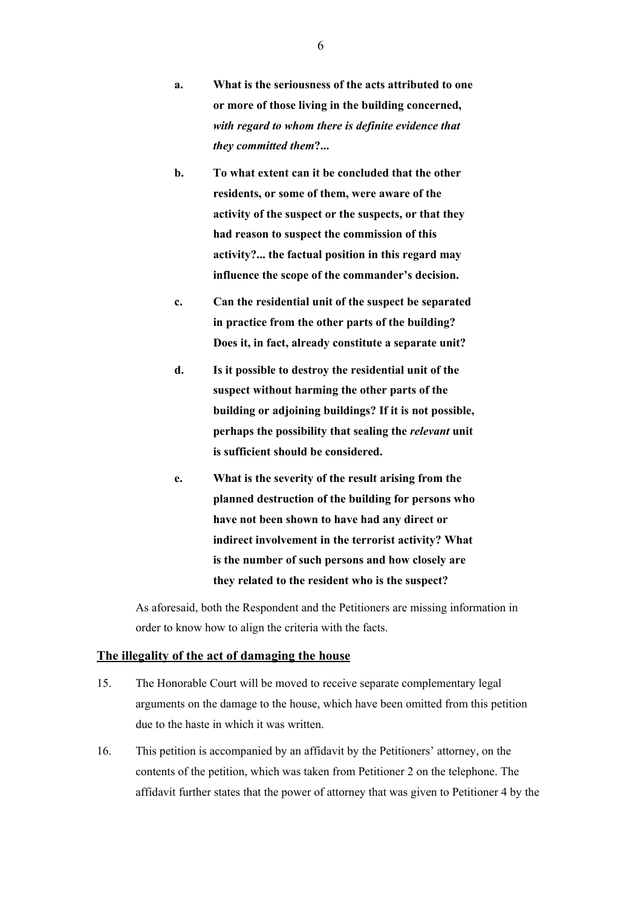- **a. What is the seriousness of the acts attributed to one or more of those living in the building concerned,**  *with regard to whom there is definite evidence that they committed them***?...**
- **b. To what extent can it be concluded that the other residents, or some of them, were aware of the activity of the suspect or the suspects, or that they had reason to suspect the commission of this activity?... the factual position in this regard may influence the scope of the commander's decision.**
- **c. Can the residential unit of the suspect be separated in practice from the other parts of the building? Does it, in fact, already constitute a separate unit?**
- **d. Is it possible to destroy the residential unit of the suspect without harming the other parts of the building or adjoining buildings? If it is not possible, perhaps the possibility that sealing the** *relevant* **unit is sufficient should be considered.**
- **e. What is the severity of the result arising from the planned destruction of the building for persons who have not been shown to have had any direct or indirect involvement in the terrorist activity? What is the number of such persons and how closely are they related to the resident who is the suspect?**

 As aforesaid, both the Respondent and the Petitioners are missing information in order to know how to align the criteria with the facts.

# **The illegality of the act of damaging the house**

- 15. The Honorable Court will be moved to receive separate complementary legal arguments on the damage to the house, which have been omitted from this petition due to the haste in which it was written.
- 16. This petition is accompanied by an affidavit by the Petitioners' attorney, on the contents of the petition, which was taken from Petitioner 2 on the telephone. The affidavit further states that the power of attorney that was given to Petitioner 4 by the